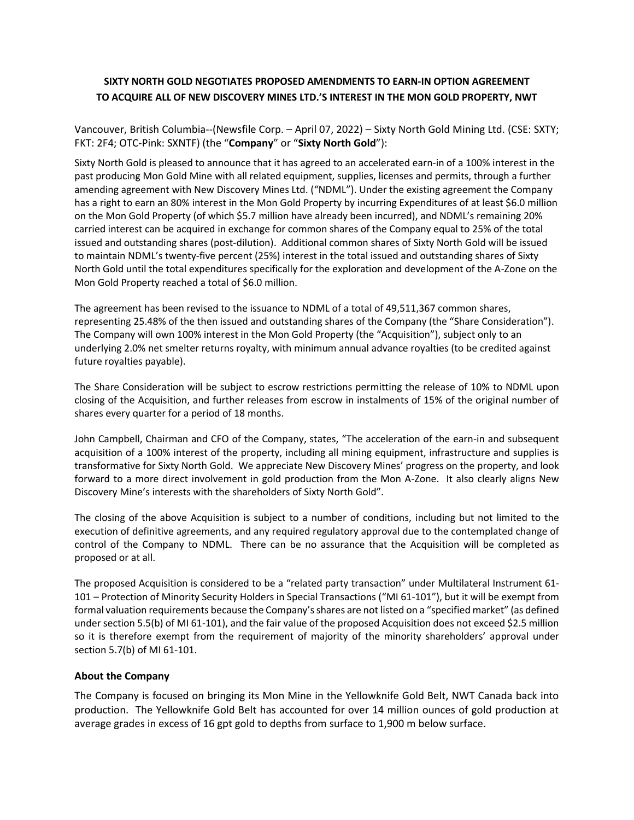## **SIXTY NORTH GOLD NEGOTIATES PROPOSED AMENDMENTS TO EARN-IN OPTION AGREEMENT TO ACQUIRE ALL OF NEW DISCOVERY MINES LTD.'S INTEREST IN THE MON GOLD PROPERTY, NWT**

Vancouver, British Columbia--(Newsfile Corp. – April 07, 2022) – Sixty North Gold Mining Ltd. (CSE: SXTY; FKT: 2F4; OTC-Pink: SXNTF) (the "**Company**" or "**Sixty North Gold**"):

Sixty North Gold is pleased to announce that it has agreed to an accelerated earn-in of a 100% interest in the past producing Mon Gold Mine with all related equipment, supplies, licenses and permits, through a further amending agreement with New Discovery Mines Ltd. ("NDML"). Under the existing agreement the Company has a right to earn an 80% interest in the Mon Gold Property by incurring Expenditures of at least \$6.0 million on the Mon Gold Property (of which \$5.7 million have already been incurred), and NDML's remaining 20% carried interest can be acquired in exchange for common shares of the Company equal to 25% of the total issued and outstanding shares (post-dilution). Additional common shares of Sixty North Gold will be issued to maintain NDML's twenty-five percent (25%) interest in the total issued and outstanding shares of Sixty North Gold until the total expenditures specifically for the exploration and development of the A-Zone on the Mon Gold Property reached a total of \$6.0 million.

The agreement has been revised to the issuance to NDML of a total of 49,511,367 common shares, representing 25.48% of the then issued and outstanding shares of the Company (the "Share Consideration"). The Company will own 100% interest in the Mon Gold Property (the "Acquisition"), subject only to an underlying 2.0% net smelter returns royalty, with minimum annual advance royalties (to be credited against future royalties payable).

The Share Consideration will be subject to escrow restrictions permitting the release of 10% to NDML upon closing of the Acquisition, and further releases from escrow in instalments of 15% of the original number of shares every quarter for a period of 18 months.

John Campbell, Chairman and CFO of the Company, states, "The acceleration of the earn-in and subsequent acquisition of a 100% interest of the property, including all mining equipment, infrastructure and supplies is transformative for Sixty North Gold. We appreciate New Discovery Mines' progress on the property, and look forward to a more direct involvement in gold production from the Mon A-Zone. It also clearly aligns New Discovery Mine's interests with the shareholders of Sixty North Gold".

The closing of the above Acquisition is subject to a number of conditions, including but not limited to the execution of definitive agreements, and any required regulatory approval due to the contemplated change of control of the Company to NDML. There can be no assurance that the Acquisition will be completed as proposed or at all.

The proposed Acquisition is considered to be a "related party transaction" under Multilateral Instrument 61- 101 – Protection of Minority Security Holders in Special Transactions ("MI 61-101"), but it will be exempt from formal valuation requirements because the Company's shares are not listed on a "specified market" (as defined under section 5.5(b) of MI 61-101), and the fair value of the proposed Acquisition does not exceed \$2.5 million so it is therefore exempt from the requirement of majority of the minority shareholders' approval under section 5.7(b) of MI 61-101.

## **About the Company**

The Company is focused on bringing its Mon Mine in the Yellowknife Gold Belt, NWT Canada back into production. The Yellowknife Gold Belt has accounted for over 14 million ounces of gold production at average grades in excess of 16 gpt gold to depths from surface to 1,900 m below surface.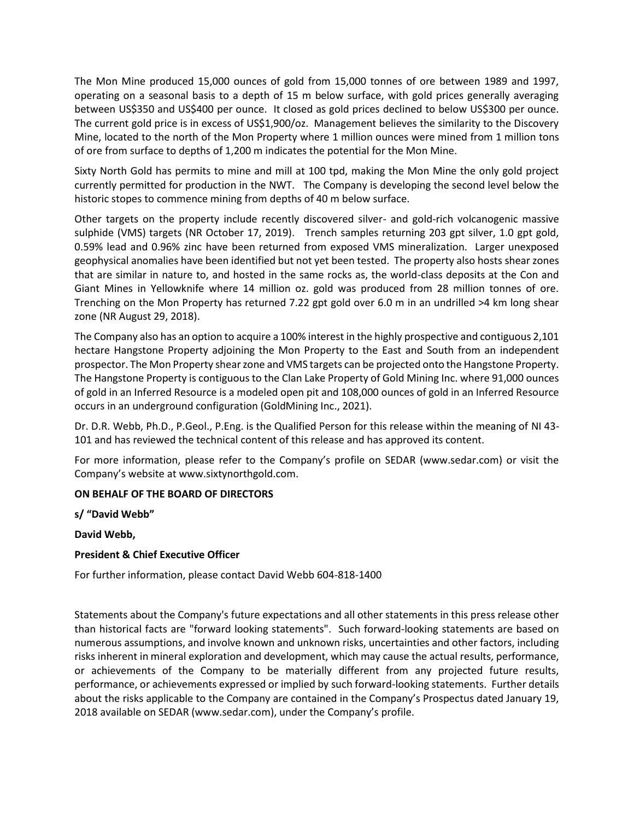The Mon Mine produced 15,000 ounces of gold from 15,000 tonnes of ore between 1989 and 1997, operating on a seasonal basis to a depth of 15 m below surface, with gold prices generally averaging between US\$350 and US\$400 per ounce. It closed as gold prices declined to below US\$300 per ounce. The current gold price is in excess of US\$1,900/oz. Management believes the similarity to the Discovery Mine, located to the north of the Mon Property where 1 million ounces were mined from 1 million tons of ore from surface to depths of 1,200 m indicates the potential for the Mon Mine.

Sixty North Gold has permits to mine and mill at 100 tpd, making the Mon Mine the only gold project currently permitted for production in the NWT. The Company is developing the second level below the historic stopes to commence mining from depths of 40 m below surface.

Other targets on the property include recently discovered silver- and gold-rich volcanogenic massive sulphide (VMS) targets (NR October 17, 2019). Trench samples returning 203 gpt silver, 1.0 gpt gold, 0.59% lead and 0.96% zinc have been returned from exposed VMS mineralization. Larger unexposed geophysical anomalies have been identified but not yet been tested. The property also hosts shear zones that are similar in nature to, and hosted in the same rocks as, the world-class deposits at the Con and Giant Mines in Yellowknife where 14 million oz. gold was produced from 28 million tonnes of ore. Trenching on the Mon Property has returned 7.22 gpt gold over 6.0 m in an undrilled >4 km long shear zone (NR August 29, 2018).

The Company also has an option to acquire a 100% interest in the highly prospective and contiguous 2,101 hectare Hangstone Property adjoining the Mon Property to the East and South from an independent prospector. The Mon Property shear zone and VMS targets can be projected onto the Hangstone Property. The Hangstone Property is contiguous to the Clan Lake Property of Gold Mining Inc. where 91,000 ounces of gold in an Inferred Resource is a modeled open pit and 108,000 ounces of gold in an Inferred Resource occurs in an underground configuration (GoldMining Inc., 2021).

Dr. D.R. Webb, Ph.D., P.Geol., P.Eng. is the Qualified Person for this release within the meaning of NI 43- 101 and has reviewed the technical content of this release and has approved its content.

For more information, please refer to the Company's profile on SEDAR (www.sedar.com) or visit the Company's website at www.sixtynorthgold.com.

## **ON BEHALF OF THE BOARD OF DIRECTORS**

**s/ "David Webb"**

**David Webb,**

## **President & Chief Executive Officer**

For further information, please contact David Webb 604-818-1400

Statements about the Company's future expectations and all other statements in this press release other than historical facts are "forward looking statements". Such forward-looking statements are based on numerous assumptions, and involve known and unknown risks, uncertainties and other factors, including risks inherent in mineral exploration and development, which may cause the actual results, performance, or achievements of the Company to be materially different from any projected future results, performance, or achievements expressed or implied by such forward-looking statements. Further details about the risks applicable to the Company are contained in the Company's Prospectus dated January 19, 2018 available on SEDAR (www.sedar.com), under the Company's profile.